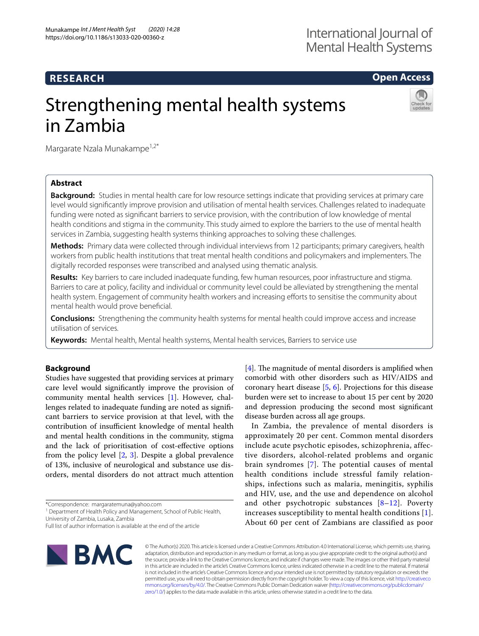# **RESEARCH**

# **Open Access**

# Strengthening mental health systems in Zambia



Margarate Nzala Munakampe $1.2^*$ 

# **Abstract**

**Background:** Studies in mental health care for low resource settings indicate that providing services at primary care level would signifcantly improve provision and utilisation of mental health services. Challenges related to inadequate funding were noted as signifcant barriers to service provision, with the contribution of low knowledge of mental health conditions and stigma in the community. This study aimed to explore the barriers to the use of mental health services in Zambia, suggesting health systems thinking approaches to solving these challenges.

**Methods:** Primary data were collected through individual interviews from 12 participants; primary caregivers, health workers from public health institutions that treat mental health conditions and policymakers and implementers. The digitally recorded responses were transcribed and analysed using thematic analysis.

**Results:** Key barriers to care included inadequate funding, few human resources, poor infrastructure and stigma. Barriers to care at policy, facility and individual or community level could be alleviated by strengthening the mental health system. Engagement of community health workers and increasing efforts to sensitise the community about mental health would prove benefcial.

**Conclusions:** Strengthening the community health systems for mental health could improve access and increase utilisation of services.

**Keywords:** Mental health, Mental health systems, Mental health services, Barriers to service use

# **Background**

Studies have suggested that providing services at primary care level would signifcantly improve the provision of community mental health services [[1\]](#page-7-0). However, challenges related to inadequate funding are noted as signifcant barriers to service provision at that level, with the contribution of insufficient knowledge of mental health and mental health conditions in the community, stigma and the lack of prioritisation of cost-efective options from the policy level [[2,](#page-7-1) [3\]](#page-7-2). Despite a global prevalence of 13%, inclusive of neurological and substance use disorders, mental disorders do not attract much attention

\*Correspondence: margaratemuna@yahoo.com

<sup>1</sup> Department of Health Policy and Management, School of Public Health, University of Zambia, Lusaka, Zambia

Full list of author information is available at the end of the article



 $[4]$  $[4]$ . The magnitude of mental disorders is amplified when comorbid with other disorders such as HIV/AIDS and coronary heart disease  $[5, 6]$  $[5, 6]$  $[5, 6]$  $[5, 6]$ . Projections for this disease burden were set to increase to about 15 per cent by 2020 and depression producing the second most signifcant disease burden across all age groups.

In Zambia, the prevalence of mental disorders is approximately 20 per cent. Common mental disorders include acute psychotic episodes, schizophrenia, affective disorders, alcohol-related problems and organic brain syndromes [[7\]](#page-7-6). The potential causes of mental health conditions include stressful family relationships, infections such as malaria, meningitis, syphilis and HIV, use, and the use and dependence on alcohol and other psychotropic substances [[8–](#page-7-7)[12](#page-7-8)]. Poverty increases susceptibility to mental health conditions [[1\]](#page-7-0). About 60 per cent of Zambians are classified as poor

© The Author(s) 2020. This article is licensed under a Creative Commons Attribution 4.0 International License, which permits use, sharing, adaptation, distribution and reproduction in any medium or format, as long as you give appropriate credit to the original author(s) and the source, provide a link to the Creative Commons licence, and indicate if changes were made. The images or other third party material in this article are included in the article's Creative Commons licence, unless indicated otherwise in a credit line to the material. If material is not included in the article's Creative Commons licence and your intended use is not permitted by statutory regulation or exceeds the permitted use, you will need to obtain permission directly from the copyright holder. To view a copy of this licence, visit [http://creativeco](http://creativecommons.org/licenses/by/4.0/) [mmons.org/licenses/by/4.0/.](http://creativecommons.org/licenses/by/4.0/) The Creative Commons Public Domain Dedication waiver ([http://creativecommons.org/publicdomain/](http://creativecommons.org/publicdomain/zero/1.0/) [zero/1.0/\)](http://creativecommons.org/publicdomain/zero/1.0/) applies to the data made available in this article, unless otherwise stated in a credit line to the data.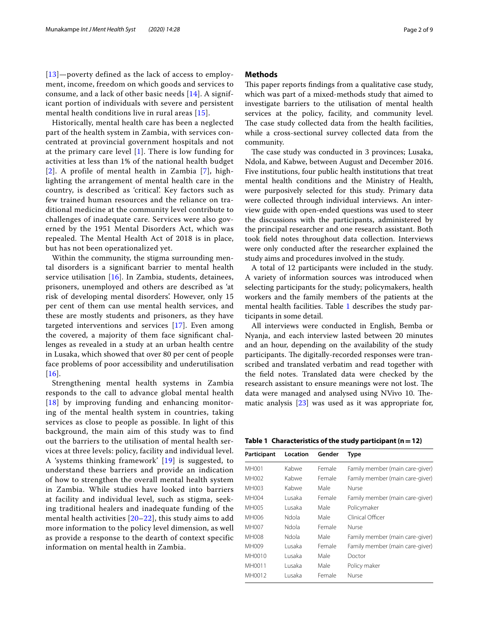[[13](#page-7-9)]—poverty defined as the lack of access to employment, income, freedom on which goods and services to consume, and a lack of other basic needs [\[14\]](#page-7-10). A significant portion of individuals with severe and persistent mental health conditions live in rural areas [\[15\]](#page-7-11).

Historically, mental health care has been a neglected part of the health system in Zambia, with services concentrated at provincial government hospitals and not at the primary care level [[1](#page-7-0)]. There is low funding for activities at less than 1% of the national health budget [[2](#page-7-1)]. A profile of mental health in Zambia [\[7\]](#page-7-6), highlighting the arrangement of mental health care in the country, is described as 'critical'. Key factors such as few trained human resources and the reliance on traditional medicine at the community level contribute to challenges of inadequate care. Services were also governed by the 1951 Mental Disorders Act, which was repealed. The Mental Health Act of 2018 is in place, but has not been operationalized yet.

Within the community, the stigma surrounding mental disorders is a signifcant barrier to mental health service utilisation  $[16]$  $[16]$  $[16]$ . In Zambia, students, detainees, prisoners, unemployed and others are described as 'at risk of developing mental disorders'. However, only 15 per cent of them can use mental health services, and these are mostly students and prisoners, as they have targeted interventions and services [\[17](#page-7-13)]. Even among the covered, a majority of them face signifcant challenges as revealed in a study at an urban health centre in Lusaka, which showed that over 80 per cent of people face problems of poor accessibility and underutilisation  $[16]$  $[16]$  $[16]$ .

Strengthening mental health systems in Zambia responds to the call to advance global mental health [[18](#page-7-14)] by improving funding and enhancing monitoring of the mental health system in countries, taking services as close to people as possible. In light of this background, the main aim of this study was to find out the barriers to the utilisation of mental health services at three levels: policy, facility and individual level. A 'systems thinking framework' [\[19\]](#page-7-15) is suggested, to understand these barriers and provide an indication of how to strengthen the overall mental health system in Zambia. While studies have looked into barriers at facility and individual level, such as stigma, seeking traditional healers and inadequate funding of the mental health activities  $[20-22]$  $[20-22]$ , this study aims to add more information to the policy level dimension, as well as provide a response to the dearth of context specific information on mental health in Zambia.

# **Methods**

This paper reports findings from a qualitative case study, which was part of a mixed-methods study that aimed to investigate barriers to the utilisation of mental health services at the policy, facility, and community level. The case study collected data from the health facilities, while a cross-sectional survey collected data from the community.

The case study was conducted in 3 provinces; Lusaka, Ndola, and Kabwe, between August and December 2016. Five institutions, four public health institutions that treat mental health conditions and the Ministry of Health, were purposively selected for this study. Primary data were collected through individual interviews. An interview guide with open-ended questions was used to steer the discussions with the participants, administered by the principal researcher and one research assistant. Both took feld notes throughout data collection. Interviews were only conducted after the researcher explained the study aims and procedures involved in the study.

A total of 12 participants were included in the study. A variety of information sources was introduced when selecting participants for the study; policymakers, health workers and the family members of the patients at the mental health facilities. Table [1](#page-1-0) describes the study participants in some detail.

All interviews were conducted in English, Bemba or Nyanja, and each interview lasted between 20 minutes and an hour, depending on the availability of the study participants. The digitally-recorded responses were transcribed and translated verbatim and read together with the feld notes. Translated data were checked by the research assistant to ensure meanings were not lost. The data were managed and analysed using NVivo 10. Thematic analysis [\[23\]](#page-7-18) was used as it was appropriate for,

<span id="page-1-0"></span>**Table 1 Characteristics of the study participant (n=12)**

| Participant | Location | Gender | <b>Type</b>                     |
|-------------|----------|--------|---------------------------------|
| MH001       | Kabwe    | Female | Family member (main care-giver) |
| MH002       | Kabwe    | Female | Family member (main care-giver) |
| MH003       | Kabwe    | Male   | Nurse                           |
| MH004       | Lusaka   | Female | Family member (main care-giver) |
| MH005       | Lusaka   | Male   | Policymaker                     |
| MH006       | Ndola    | Male   | Clinical Officer                |
| MH007       | Ndola    | Female | Nurse                           |
| MH008       | Ndola    | Male   | Family member (main care-giver) |
| MH009       | Lusaka   | Female | Family member (main care-giver) |
| MH0010      | Lusaka   | Male   | Doctor                          |
| MH0011      | Lusaka   | Male   | Policy maker                    |
| MH0012      | Lusaka   | Female | Nurse                           |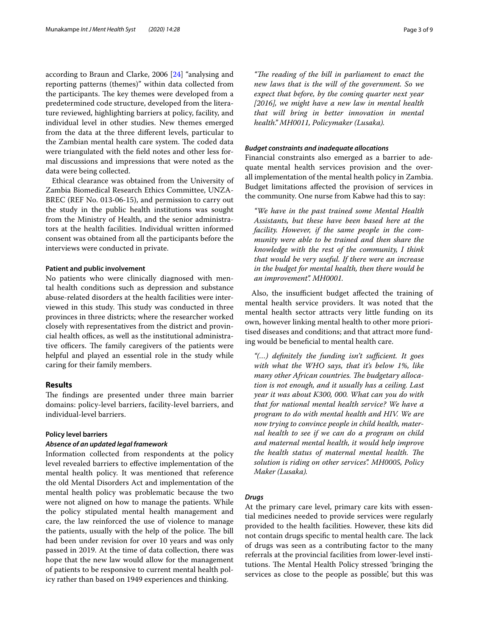according to Braun and Clarke, 2006 [[24\]](#page-7-19) "analysing and reporting patterns (themes)" within data collected from the participants. The key themes were developed from a predetermined code structure, developed from the literature reviewed, highlighting barriers at policy, facility, and individual level in other studies. New themes emerged from the data at the three diferent levels, particular to the Zambian mental health care system. The coded data were triangulated with the feld notes and other less formal discussions and impressions that were noted as the data were being collected.

Ethical clearance was obtained from the University of Zambia Biomedical Research Ethics Committee, UNZA-BREC (REF No. 013-06-15), and permission to carry out the study in the public health institutions was sought from the Ministry of Health, and the senior administrators at the health facilities. Individual written informed consent was obtained from all the participants before the interviews were conducted in private.

#### **Patient and public involvement**

No patients who were clinically diagnosed with mental health conditions such as depression and substance abuse-related disorders at the health facilities were interviewed in this study. This study was conducted in three provinces in three districts; where the researcher worked closely with representatives from the district and provincial health offices, as well as the institutional administrative officers. The family caregivers of the patients were helpful and played an essential role in the study while caring for their family members.

# **Results**

The findings are presented under three main barrier domains: policy-level barriers, facility-level barriers, and individual-level barriers.

# **Policy level barriers**

#### *Absence of an updated legal framework*

Information collected from respondents at the policy level revealed barriers to efective implementation of the mental health policy. It was mentioned that reference the old Mental Disorders Act and implementation of the mental health policy was problematic because the two were not aligned on how to manage the patients. While the policy stipulated mental health management and care, the law reinforced the use of violence to manage the patients, usually with the help of the police. The bill had been under revision for over 10 years and was only passed in 2019. At the time of data collection, there was hope that the new law would allow for the management of patients to be responsive to current mental health policy rather than based on 1949 experiences and thinking.

"The reading of the bill in parliament to enact the *new laws that is the will of the government. So we expect that before, by the coming quarter next year [2016], we might have a new law in mental health that will bring in better innovation in mental health." MH0011, Policymaker (Lusaka).*

# *Budget constraints and inadequate allocations*

Financial constraints also emerged as a barrier to adequate mental health services provision and the overall implementation of the mental health policy in Zambia. Budget limitations afected the provision of services in the community. One nurse from Kabwe had this to say:

*"We have in the past trained some Mental Health Assistants, but these have been based here at the facility. However, if the same people in the community were able to be trained and then share the knowledge with the rest of the community, I think that would be very useful. If there were an increase in the budget for mental health, then there would be an improvement". MH0001.*

Also, the insufficient budget affected the training of mental health service providers. It was noted that the mental health sector attracts very little funding on its own, however linking mental health to other more prioritised diseases and conditions; and that attract more funding would be beneficial to mental health care.

*"(…) defnitely the funding isn't sufcient. It goes with what the WHO says, that it's below 1%, like*  many other African countries. The budgetary alloca*tion is not enough, and it usually has a ceiling. Last year it was about K300, 000. What can you do with that for national mental health service? We have a program to do with mental health and HIV. We are now trying to convince people in child health, maternal health to see if we can do a program on child and maternal mental health, it would help improve the health status of maternal mental health. The solution is riding on other services". MH0005, Policy Maker (Lusaka).*

#### *Drugs*

At the primary care level, primary care kits with essential medicines needed to provide services were regularly provided to the health facilities. However, these kits did not contain drugs specific to mental health care. The lack of drugs was seen as a contributing factor to the many referrals at the provincial facilities from lower-level institutions. The Mental Health Policy stressed 'bringing the services as close to the people as possible', but this was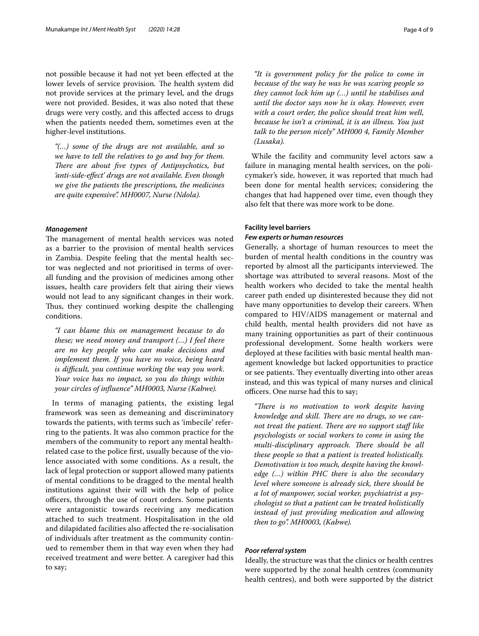not possible because it had not yet been efected at the lower levels of service provision. The health system did not provide services at the primary level, and the drugs were not provided. Besides, it was also noted that these drugs were very costly, and this afected access to drugs when the patients needed them, sometimes even at the higher-level institutions.

*"(…) some of the drugs are not available, and so we have to tell the relatives to go and buy for them.*  There are about five types of Antipsychotics, but *'anti-side-efect' drugs are not available. Even though we give the patients the prescriptions, the medicines are quite expensive". MH0007, Nurse (Ndola).*

# *Management*

The management of mental health services was noted as a barrier to the provision of mental health services in Zambia. Despite feeling that the mental health sector was neglected and not prioritised in terms of overall funding and the provision of medicines among other issues, health care providers felt that airing their views would not lead to any signifcant changes in their work. Thus, they continued working despite the challenging conditions.

*"I can blame this on management because to do these; we need money and transport (…) I feel there are no key people who can make decisions and implement them. If you have no voice, being heard is difcult, you continue working the way you work. Your voice has no impact, so you do things within your circles of infuence" MH0003, Nurse (Kabwe).*

In terms of managing patients, the existing legal framework was seen as demeaning and discriminatory towards the patients, with terms such as 'imbecile' referring to the patients. It was also common practice for the members of the community to report any mental healthrelated case to the police frst, usually because of the violence associated with some conditions. As a result, the lack of legal protection or support allowed many patients of mental conditions to be dragged to the mental health institutions against their will with the help of police officers, through the use of court orders. Some patients were antagonistic towards receiving any medication attached to such treatment. Hospitalisation in the old and dilapidated facilities also afected the re-socialisation of individuals after treatment as the community continued to remember them in that way even when they had received treatment and were better. A caregiver had this to say;

*"It is government policy for the police to come in because of the way he was he was scaring people so they cannot lock him up (…) until he stabilises and until the doctor says now he is okay. However, even with a court order, the police should treat him well, because he isn't a criminal, it is an illness. You just talk to the person nicely" MH000 4, Family Member (Lusaka).*

While the facility and community level actors saw a failure in managing mental health services, on the policymaker's side, however, it was reported that much had been done for mental health services; considering the changes that had happened over time, even though they also felt that there was more work to be done.

# **Facility level barriers**

## *Few experts or human resources*

Generally, a shortage of human resources to meet the burden of mental health conditions in the country was reported by almost all the participants interviewed. The shortage was attributed to several reasons. Most of the health workers who decided to take the mental health career path ended up disinterested because they did not have many opportunities to develop their careers. When compared to HIV/AIDS management or maternal and child health, mental health providers did not have as many training opportunities as part of their continuous professional development. Some health workers were deployed at these facilities with basic mental health management knowledge but lacked opportunities to practice or see patients. They eventually diverting into other areas instead, and this was typical of many nurses and clinical officers. One nurse had this to say;

"There is no motivation to work despite having knowledge and skill. There are no drugs, so we can*not treat the patient. There are no support staff like psychologists or social workers to come in using the multi-disciplinary approach. There should be all these people so that a patient is treated holistically. Demotivation is too much, despite having the knowledge (…) within PHC there is also the secondary level where someone is already sick, there should be a lot of manpower, social worker, psychiatrist a psychologist so that a patient can be treated holistically instead of just providing medication and allowing then to go". MH0003, (Kabwe).*

#### *Poor referral system*

Ideally, the structure was that the clinics or health centres were supported by the zonal health centres (community health centres), and both were supported by the district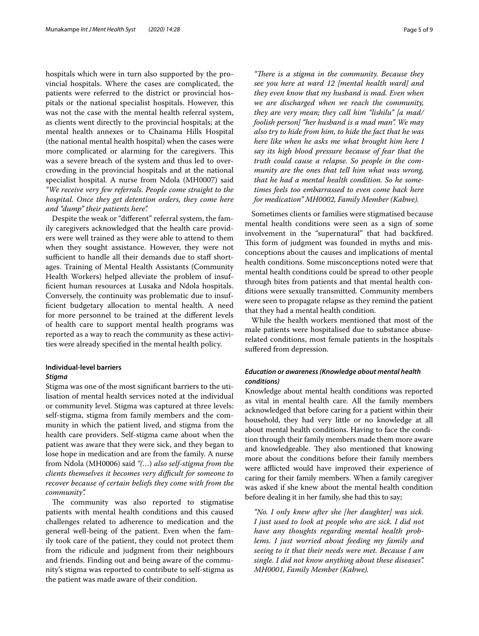hospitals which were in turn also supported by the provincial hospitals. Where the cases are complicated, the patients were referred to the district or provincial hospitals or the national specialist hospitals. However, this was not the case with the mental health referral system, as clients went directly to the provincial hospitals; at the mental health annexes or to Chainama Hills Hospital (the national mental health hospital) when the cases were more complicated or alarming for the caregivers. This was a severe breach of the system and thus led to overcrowding in the provincial hospitals and at the national specialist hospital. A nurse from Ndola (MH0007) said *"We receive very few referrals. People come straight to the hospital. Once they get detention orders, they come here and "dump" their patients here".*

Despite the weak or "diferent" referral system, the family caregivers acknowledged that the health care providers were well trained as they were able to attend to them when they sought assistance. However, they were not sufficient to handle all their demands due to staff shortages. Training of Mental Health Assistants (Community Health Workers) helped alleviate the problem of insuffcient human resources at Lusaka and Ndola hospitals. Conversely, the continuity was problematic due to insuffcient budgetary allocation to mental health. A need for more personnel to be trained at the diferent levels of health care to support mental health programs was reported as a way to reach the community as these activities were already specifed in the mental health policy.

# **Individual‑level barriers**

# *Stigma*

Stigma was one of the most signifcant barriers to the utilisation of mental health services noted at the individual or community level. Stigma was captured at three levels: self-stigma, stigma from family members and the community in which the patient lived, and stigma from the health care providers. Self-stigma came about when the patient was aware that they were sick, and they began to lose hope in medication and are from the family. A nurse from Ndola (MH0006) said *"(*…) *also self*-*stigma from the clients themselves it becomes very difcult for someone to recover because of certain beliefs they come with from the community".*

The community was also reported to stigmatise patients with mental health conditions and this caused challenges related to adherence to medication and the general well-being of the patient. Even when the family took care of the patient, they could not protect them from the ridicule and judgment from their neighbours and friends. Finding out and being aware of the community's stigma was reported to contribute to self-stigma as the patient was made aware of their condition.

*"There is a stigma in the community. Because they see you here at ward 12 [mental health ward] and they even know that my husband is mad. Even when we are discharged when we reach the community, they are very mean; they call him "lishilu" [a mad/ foolish person] "her husband is a mad man". We may also try to hide from him, to hide the fact that he was here like when he asks me what brought him here I say its high blood pressure because of fear that the truth could cause a relapse. So people in the community are the ones that tell him what was wrong, that he had a mental health condition. So he sometimes feels too embarrassed to even come back here for medication" MH0002, Family Member (Kabwe).*

Sometimes clients or families were stigmatised because mental health conditions were seen as a sign of some involvement in the "supernatural" that had backfred. This form of judgment was founded in myths and misconceptions about the causes and implications of mental health conditions. Some misconceptions noted were that mental health conditions could be spread to other people through bites from patients and that mental health conditions were sexually transmitted. Community members were seen to propagate relapse as they remind the patient that they had a mental health condition.

While the health workers mentioned that most of the male patients were hospitalised due to substance abuserelated conditions, most female patients in the hospitals sufered from depression.

# *Education or awareness (Knowledge about mental health conditions)*

Knowledge about mental health conditions was reported as vital in mental health care. All the family members acknowledged that before caring for a patient within their household, they had very little or no knowledge at all about mental health conditions. Having to face the condition through their family members made them more aware and knowledgeable. They also mentioned that knowing more about the conditions before their family members were afflicted would have improved their experience of caring for their family members. When a family caregiver was asked if she knew about the mental health condition before dealing it in her family, she had this to say;

*"No. I only knew after she [her daughter] was sick. I just used to look at people who are sick. I did not have any thoughts regarding mental health problems. I just worried about feeding my family and seeing to it that their needs were met. Because I am single. I did not know anything about these diseases". MH0001, Family Member (Kabwe).*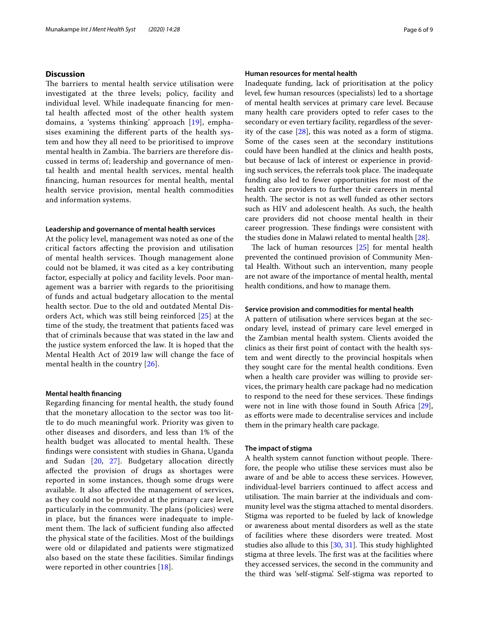# **Discussion**

The barriers to mental health service utilisation were investigated at the three levels; policy, facility and individual level. While inadequate fnancing for mental health afected most of the other health system domains, a 'systems thinking' approach [[19](#page-7-15)], emphasises examining the diferent parts of the health system and how they all need to be prioritised to improve mental health in Zambia. The barriers are therefore discussed in terms of; leadership and governance of mental health and mental health services, mental health fnancing, human resources for mental health, mental health service provision, mental health commodities and information systems.

#### **Leadership and governance of mental health services**

At the policy level, management was noted as one of the critical factors afecting the provision and utilisation of mental health services. Though management alone could not be blamed, it was cited as a key contributing factor, especially at policy and facility levels. Poor management was a barrier with regards to the prioritising of funds and actual budgetary allocation to the mental health sector. Due to the old and outdated Mental Disorders Act, which was still being reinforced [[25\]](#page-7-20) at the time of the study, the treatment that patients faced was that of criminals because that was stated in the law and the justice system enforced the law. It is hoped that the Mental Health Act of 2019 law will change the face of mental health in the country [[26\]](#page-7-21).

#### **Mental health fnancing**

Regarding fnancing for mental health, the study found that the monetary allocation to the sector was too little to do much meaningful work. Priority was given to other diseases and disorders, and less than 1% of the health budget was allocated to mental health. These fndings were consistent with studies in Ghana, Uganda and Sudan [\[20,](#page-7-16) [27](#page-7-22)]. Budgetary allocation directly afected the provision of drugs as shortages were reported in some instances, though some drugs were available. It also afected the management of services, as they could not be provided at the primary care level, particularly in the community. The plans (policies) were in place, but the fnances were inadequate to implement them. The lack of sufficient funding also affected the physical state of the facilities. Most of the buildings were old or dilapidated and patients were stigmatized also based on the state these facilities. Similar fndings were reported in other countries [[18\]](#page-7-14).

## **Human resources for mental health**

Inadequate funding, lack of prioritisation at the policy level, few human resources (specialists) led to a shortage of mental health services at primary care level. Because many health care providers opted to refer cases to the secondary or even tertiary facility, regardless of the severity of the case [[28\]](#page-7-23), this was noted as a form of stigma. Some of the cases seen at the secondary institutions could have been handled at the clinics and health posts, but because of lack of interest or experience in providing such services, the referrals took place. The inadequate funding also led to fewer opportunities for most of the health care providers to further their careers in mental health. The sector is not as well funded as other sectors such as HIV and adolescent health. As such, the health care providers did not choose mental health in their career progression. These findings were consistent with the studies done in Malawi related to mental health [\[28](#page-7-23)].

The lack of human resources  $[25]$  $[25]$  for mental health prevented the continued provision of Community Mental Health. Without such an intervention, many people are not aware of the importance of mental health, mental health conditions, and how to manage them.

### **Service provision and commodities for mental health**

A pattern of utilisation where services began at the secondary level, instead of primary care level emerged in the Zambian mental health system. Clients avoided the clinics as their frst point of contact with the health system and went directly to the provincial hospitals when they sought care for the mental health conditions. Even when a health care provider was willing to provide services, the primary health care package had no medication to respond to the need for these services. These findings were not in line with those found in South Africa [\[29](#page-7-24)], as efforts were made to decentralise services and include them in the primary health care package.

### **The impact of stigma**

A health system cannot function without people. Therefore, the people who utilise these services must also be aware of and be able to access these services. However, individual-level barriers continued to afect access and utilisation. The main barrier at the individuals and community level was the stigma attached to mental disorders. Stigma was reported to be fueled by lack of knowledge or awareness about mental disorders as well as the state of facilities where these disorders were treated. Most studies also allude to this  $[30, 31]$  $[30, 31]$  $[30, 31]$ . This study highlighted stigma at three levels. The first was at the facilities where they accessed services, the second in the community and the third was 'self-stigma'. Self-stigma was reported to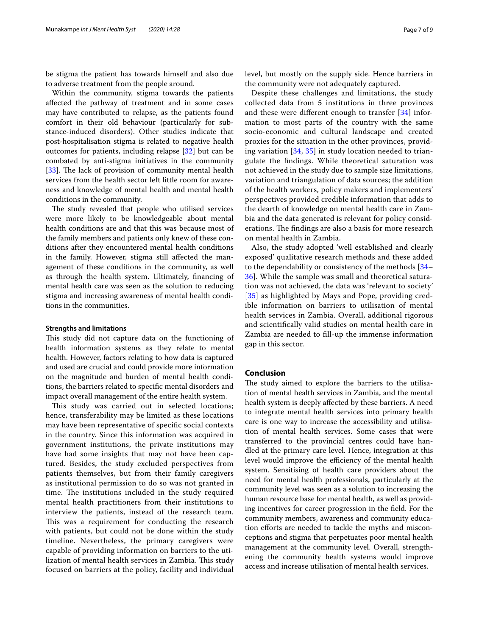be stigma the patient has towards himself and also due to adverse treatment from the people around.

Within the community, stigma towards the patients afected the pathway of treatment and in some cases may have contributed to relapse, as the patients found comfort in their old behaviour (particularly for substance-induced disorders). Other studies indicate that post-hospitalisation stigma is related to negative health outcomes for patients, including relapse [[32\]](#page-8-0) but can be combated by anti-stigma initiatives in the community [[33\]](#page-8-1). The lack of provision of community mental health services from the health sector left little room for awareness and knowledge of mental health and mental health conditions in the community.

The study revealed that people who utilised services were more likely to be knowledgeable about mental health conditions are and that this was because most of the family members and patients only knew of these conditions after they encountered mental health conditions in the family. However, stigma still afected the management of these conditions in the community, as well as through the health system. Ultimately, fnancing of mental health care was seen as the solution to reducing stigma and increasing awareness of mental health conditions in the communities.

# **Strengths and limitations**

This study did not capture data on the functioning of health information systems as they relate to mental health. However, factors relating to how data is captured and used are crucial and could provide more information on the magnitude and burden of mental health conditions, the barriers related to specifc mental disorders and impact overall management of the entire health system.

This study was carried out in selected locations; hence, transferability may be limited as these locations may have been representative of specifc social contexts in the country. Since this information was acquired in government institutions, the private institutions may have had some insights that may not have been captured. Besides, the study excluded perspectives from patients themselves, but from their family caregivers as institutional permission to do so was not granted in time. The institutions included in the study required mental health practitioners from their institutions to interview the patients, instead of the research team. This was a requirement for conducting the research with patients, but could not be done within the study timeline. Nevertheless, the primary caregivers were capable of providing information on barriers to the utilization of mental health services in Zambia. This study focused on barriers at the policy, facility and individual level, but mostly on the supply side. Hence barriers in the community were not adequately captured.

Despite these challenges and limitations, the study collected data from 5 institutions in three provinces and these were diferent enough to transfer [[34](#page-8-2)] information to most parts of the country with the same socio-economic and cultural landscape and created proxies for the situation in the other provinces, providing variation [[34,](#page-8-2) [35\]](#page-8-3) in study location needed to triangulate the fndings. While theoretical saturation was not achieved in the study due to sample size limitations, variation and triangulation of data sources; the addition of the health workers, policy makers and implementers' perspectives provided credible information that adds to the dearth of knowledge on mental health care in Zambia and the data generated is relevant for policy considerations. The findings are also a basis for more research on mental health in Zambia.

Also, the study adopted 'well established and clearly exposed' qualitative research methods and these added to the dependability or consistency of the methods [[34–](#page-8-2) [36\]](#page-8-4). While the sample was small and theoretical saturation was not achieved, the data was 'relevant to society' [[35](#page-8-3)] as highlighted by Mays and Pope, providing credible information on barriers to utilisation of mental health services in Zambia. Overall, additional rigorous and scientifcally valid studies on mental health care in Zambia are needed to fll-up the immense information gap in this sector.

# **Conclusion**

The study aimed to explore the barriers to the utilisation of mental health services in Zambia, and the mental health system is deeply afected by these barriers. A need to integrate mental health services into primary health care is one way to increase the accessibility and utilisation of mental health services. Some cases that were transferred to the provincial centres could have handled at the primary care level. Hence, integration at this level would improve the efficiency of the mental health system. Sensitising of health care providers about the need for mental health professionals, particularly at the community level was seen as a solution to increasing the human resource base for mental health, as well as providing incentives for career progression in the feld. For the community members, awareness and community education eforts are needed to tackle the myths and misconceptions and stigma that perpetuates poor mental health management at the community level. Overall, strengthening the community health systems would improve access and increase utilisation of mental health services.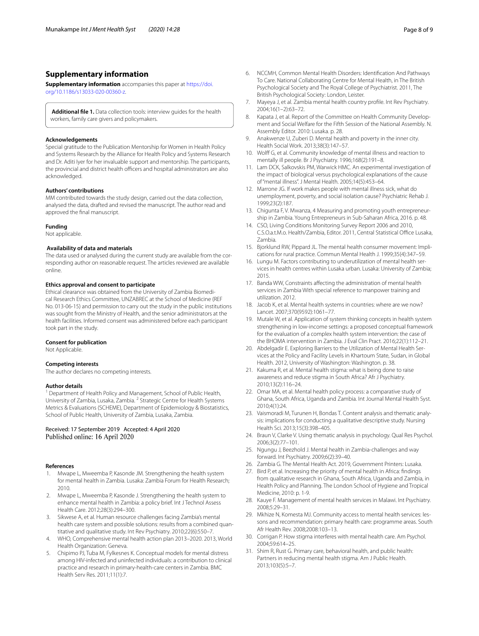# **Supplementary information**

**Supplementary information** accompanies this paper at [https://doi.](https://doi.org/10.1186/s13033-020-00360-z) [org/10.1186/s13033-020-00360-z.](https://doi.org/10.1186/s13033-020-00360-z)

**Additional fle 1.** Data collection tools: interview guides for the health workers, family care givers and policymakers.

#### **Acknowledgements**

Special gratitude to the Publication Mentorship for Women in Health Policy and Systems Research by the Alliance for Health Policy and Systems Research and Dr. Aditi Iyer for her invaluable support and mentorship. The participants, the provincial and district health officers and hospital administrators are also acknowledged.

#### **Authors' contributions**

MM contributed towards the study design, carried out the data collection, analysed the data, drafted and revised the manuscript. The author read and approved the fnal manuscript.

#### **Funding**

Not applicable.

## **Availability of data and materials**

The data used or analysed during the current study are available from the corresponding author on reasonable request. The articles reviewed are available online.

## **Ethics approval and consent to participate**

Ethical clearance was obtained from the University of Zambia Biomedical Research Ethics Committee, UNZABREC at the School of Medicine (REF No. 013-06-15) and permission to carry out the study in the public institutions was sought from the Ministry of Health, and the senior administrators at the health facilities. Informed consent was administered before each participant took part in the study.

#### **Consent for publication**

Not Applicable.

#### **Competing interests**

The author declares no competing interests.

#### **Author details**

<sup>1</sup> Department of Health Policy and Management, School of Public Health, University of Zambia, Lusaka, Zambia. <sup>2</sup> Strategic Centre for Health Systems Metrics & Evaluations (SCHEME), Department of Epidemiology & Biostatistics, School of Public Health, University of Zambia, Lusaka, Zambia.

#### Received: 17 September 2019 Accepted: 4 April 2020 Published online: 16 April 2020

#### **References**

- <span id="page-7-0"></span>Mwape L, Mweemba P, Kasonde JM. Strengthening the health system for mental health in Zambia. Lusaka: Zambia Forum for Health Research; 2010.
- <span id="page-7-1"></span>2. Mwape L, Mweemba P, Kasonde J. Strengthening the health system to enhance mental health in Zambia: a policy brief. Int J Technol Assess Health Care. 2012;28(3):294–300.
- <span id="page-7-2"></span>Sikwese A, et al. Human resource challenges facing Zambia's mental health care system and possible solutions: results from a combined quantitative and qualitative study. Int Rev Psychiatry. 2010;22(6):550–7.
- <span id="page-7-3"></span>4. WHO, Comprehensive mental health action plan 2013–2020. 2013, World Health Organization: Geneva.
- <span id="page-7-4"></span>5. Chipimo PJ, Tuba M, Fylkesnes K. Conceptual models for mental distress among HIV-infected and uninfected individuals: a contribution to clinical practice and research in primary-health-care centers in Zambia. BMC Health Serv Res. 2011;11(1):7.
- <span id="page-7-5"></span>6. NCCMH, Common Mental Health Disorders: Identifcation And Pathways To Care. National Collaborating Centre for Mental Health, in The British Psychological Society and The Royal College of Psychiatrist. 2011, The British Psychological Society: London, Leister.
- <span id="page-7-6"></span>7. Mayeya J, et al. Zambia mental health country profle. Int Rev Psychiatry. 2004;16(1–2):63–72.
- <span id="page-7-7"></span>8. Kapata J, et al. Report of the Committee on Health Community Development and Social Welfare for the Fifth Session of the National Assembly. N. Assembly Editor. 2010: Lusaka. p. 28.
- 9. Anakwenze U, Zuberi D. Mental health and poverty in the inner city. Health Social Work. 2013;38(3):147–57.
- 10. Wolff G, et al. Community knowledge of mental illness and reaction to mentally ill people. Br J Psychiatry. 1996;168(2):191–8.
- 11. Lam DCK, Salkovskis PM, Warwick HMC. An experimental investigation of the impact of biological versus psychological explanations of the cause of "mental illness". J Mental Health. 2005;14(5):453–64.
- <span id="page-7-8"></span>12. Marrone JG. If work makes people with mental illness sick, what do unemployment, poverty, and social isolation cause? Psychiatric Rehab J. 1999;23(2):187.
- <span id="page-7-9"></span>13. Chigunta F, V. Mwanza, 4 Measuring and promoting youth entrepreneurship in Zambia. Young Entrepreneurs in Sub-Saharan Africa, 2016. p. 48.
- <span id="page-7-10"></span>14. CSO, Living Conditions Monitoring Survey Report 2006 and 2010, C.S.O.a.t.M.o. Health/Zambia, Editor. 2011, Central Statistical Office Lusaka, Zambia.
- <span id="page-7-11"></span>15. Bjorklund RW, Pippard JL. The mental health consumer movement: Implications for rural practice. Commun Mental Health J. 1999;35(4):347–59.
- <span id="page-7-12"></span>16. Lungu M. Factors contributing to underutilization of mental health services in health centres within Lusaka urban. Lusaka: University of Zambia; 2015.
- <span id="page-7-13"></span>17. Banda WW, Constraints affecting the administration of mental health services in Zambia With special reference to manpower training and utilization. 2012.
- <span id="page-7-14"></span>18. Jacob K, et al. Mental health systems in countries: where are we now? Lancet. 2007;370(9592):1061–77.
- <span id="page-7-15"></span>19. Mutale W, et al. Application of system thinking concepts in health system strengthening in low-income settings: a proposed conceptual framework for the evaluation of a complex health system intervention: the case of the BHOMA intervention in Zambia. J Eval Clin Pract. 2016;22(1):112–21.
- <span id="page-7-16"></span>20. Abdelgadir E. Exploring Barriers to the Utilization of Mental Health Services at the Policy and Facility Levels in Khartoum State, Sudan, in Global Health. 2012, University of Washington: Washington. p. 38.
- 21. Kakuma R, et al. Mental health stigma: what is being done to raise awareness and reduce stigma in South Africa? Afr J Psychiatry. 2010;13(2):116–24.
- <span id="page-7-17"></span>22. Omar MA, et al. Mental health policy process: a comparative study of Ghana, South Africa, Uganda and Zambia. Int Journal Mental Health Syst. 2010;4(1):24.
- <span id="page-7-18"></span>23. Vaismoradi M, Turunen H, Bondas T. Content analysis and thematic analysis: implications for conducting a qualitative descriptive study. Nursing Health Sci. 2013;15(3):398–405.
- <span id="page-7-19"></span>24. Braun V, Clarke V. Using thematic analysis in psychology. Qual Res Psychol. 2006;3(2):77–101.
- <span id="page-7-20"></span>25. Ngungu J, Beezhold J. Mental health in Zambia-challenges and way forward. Int Psychiatry. 2009;6(2):39–40.
- <span id="page-7-21"></span>26. Zambia G. The Mental Health Act. 2019, Government Printers: Lusaka.
- <span id="page-7-22"></span>27. Bird P, et al. Increasing the priority of mental health in Africa: fndings from qualitative research in Ghana, South Africa, Uganda and Zambia, in Health Policy and Planning. The London School of Hygiene and Tropical Medicine, 2010: p. 1-9.
- <span id="page-7-23"></span>28. Kauye F. Management of mental health services in Malawi. Int Psychiatry. 2008;5:29–31.
- <span id="page-7-24"></span>29. Mkhize N, Komesta MJ. Community access to mental health services: lessons and recommendation: primary health care: programme areas. South Afr Health Rev. 2008;2008:103–13.
- <span id="page-7-25"></span>30. Corrigan P. How stigma interferes with mental health care. Am Psychol. 2004;59:614–25.
- <span id="page-7-26"></span>31. Shim R, Rust G. Primary care, behavioral health, and public health: Partners in reducing mental health stigma. Am J Public Health. 2013;103(5):5–7.